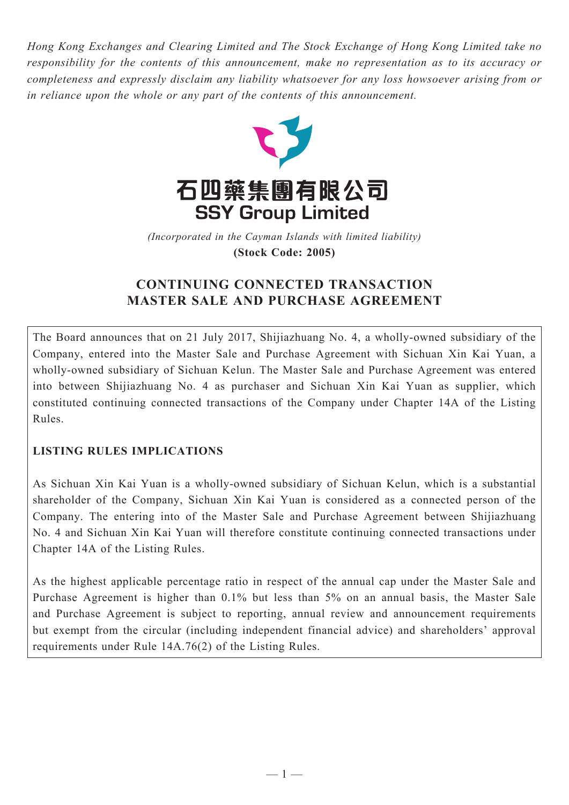*Hong Kong Exchanges and Clearing Limited and The Stock Exchange of Hong Kong Limited take no responsibility for the contents of this announcement, make no representation as to its accuracy or completeness and expressly disclaim any liability whatsoever for any loss howsoever arising from or in reliance upon the whole or any part of the contents of this announcement.*



(Incorporated in the Cayman Islands with limited liability) **(Stock Code: 2005)** *(Incorporated in the Cayman Islands with limited liability)* **(Stock Code: 2005)**

# **CONTINUING CONNECTED TRANSACTION MASTER SALE AND PURCHASE AGREEMENT**

The Board announces that on 21 July 2017, Shijiazhuang No. 4, a wholly-owned subsidiary of the Company, entered into the Master Sale and Purchase Agreement with Sichuan Xin Kai Yuan, a wholly-owned subsidiary of Sichuan Kelun. The Master Sale and Purchase Agreement was entered into between Shijiazhuang No. 4 as purchaser and Sichuan Xin Kai Yuan as supplier, which constituted continuing connected transactions of the Company under Chapter 14A of the Listing Rules.

# **LISTING RULES IMPLICATIONS**

As Sichuan Xin Kai Yuan is a wholly-owned subsidiary of Sichuan Kelun, which is a substantial shareholder of the Company, Sichuan Xin Kai Yuan is considered as a connected person of the Company. The entering into of the Master Sale and Purchase Agreement between Shijiazhuang No. 4 and Sichuan Xin Kai Yuan will therefore constitute continuing connected transactions under Chapter 14A of the Listing Rules.

As the highest applicable percentage ratio in respect of the annual cap under the Master Sale and Purchase Agreement is higher than 0.1% but less than 5% on an annual basis, the Master Sale and Purchase Agreement is subject to reporting, annual review and announcement requirements but exempt from the circular (including independent financial advice) and shareholders' approval requirements under Rule 14A.76(2) of the Listing Rules.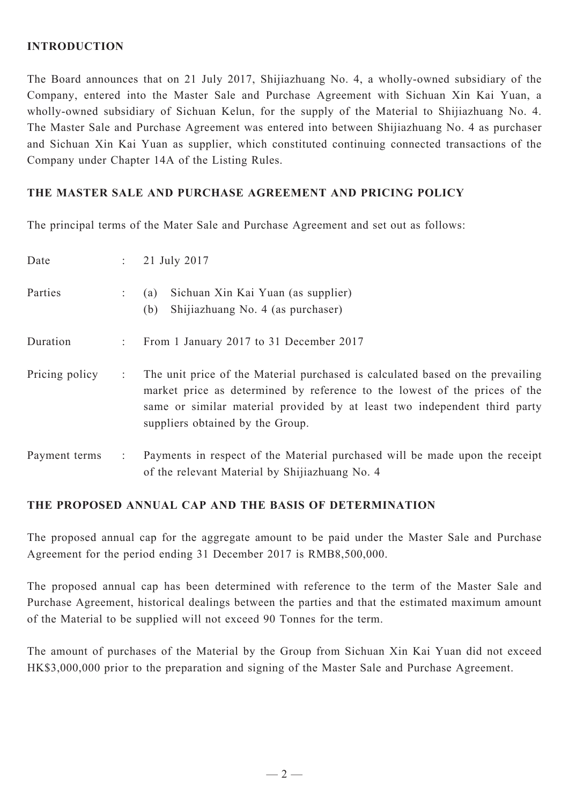### **INTRODUCTION**

The Board announces that on 21 July 2017, Shijiazhuang No. 4, a wholly-owned subsidiary of the Company, entered into the Master Sale and Purchase Agreement with Sichuan Xin Kai Yuan, a wholly-owned subsidiary of Sichuan Kelun, for the supply of the Material to Shijiazhuang No. 4. The Master Sale and Purchase Agreement was entered into between Shijiazhuang No. 4 as purchaser and Sichuan Xin Kai Yuan as supplier, which constituted continuing connected transactions of the Company under Chapter 14A of the Listing Rules.

### **THE MASTER SALE AND PURCHASE AGREEMENT AND PRICING POLICY**

The principal terms of the Mater Sale and Purchase Agreement and set out as follows:

| Date           |   | 21 July 2017                                                                                                                                                                                                                                                                  |
|----------------|---|-------------------------------------------------------------------------------------------------------------------------------------------------------------------------------------------------------------------------------------------------------------------------------|
| Parties        |   | Sichuan Xin Kai Yuan (as supplier)<br>(a)<br>Shijiazhuang No. 4 (as purchaser)<br>(b)                                                                                                                                                                                         |
| Duration       |   | From 1 January 2017 to 31 December 2017                                                                                                                                                                                                                                       |
| Pricing policy | ÷ | The unit price of the Material purchased is calculated based on the prevailing<br>market price as determined by reference to the lowest of the prices of the<br>same or similar material provided by at least two independent third party<br>suppliers obtained by the Group. |
| Payment terms  |   | Payments in respect of the Material purchased will be made upon the receipt<br>of the relevant Material by Shijiazhuang No. 4                                                                                                                                                 |

#### **THE PROPOSED ANNUAL CAP AND THE BASIS OF DETERMINATION**

The proposed annual cap for the aggregate amount to be paid under the Master Sale and Purchase Agreement for the period ending 31 December 2017 is RMB8,500,000.

The proposed annual cap has been determined with reference to the term of the Master Sale and Purchase Agreement, historical dealings between the parties and that the estimated maximum amount of the Material to be supplied will not exceed 90 Tonnes for the term.

The amount of purchases of the Material by the Group from Sichuan Xin Kai Yuan did not exceed HK\$3,000,000 prior to the preparation and signing of the Master Sale and Purchase Agreement.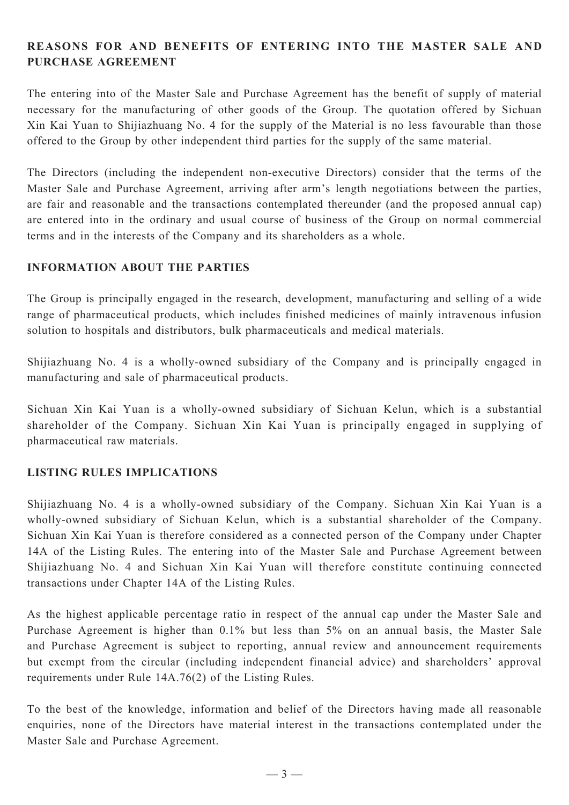# **REASONS FOR AND BENEFITS OF ENTERING INTO THE MASTER SALE AND PURCHASE AGREEMENT**

The entering into of the Master Sale and Purchase Agreement has the benefit of supply of material necessary for the manufacturing of other goods of the Group. The quotation offered by Sichuan Xin Kai Yuan to Shijiazhuang No. 4 for the supply of the Material is no less favourable than those offered to the Group by other independent third parties for the supply of the same material.

The Directors (including the independent non-executive Directors) consider that the terms of the Master Sale and Purchase Agreement, arriving after arm's length negotiations between the parties, are fair and reasonable and the transactions contemplated thereunder (and the proposed annual cap) are entered into in the ordinary and usual course of business of the Group on normal commercial terms and in the interests of the Company and its shareholders as a whole.

### **INFORMATION ABOUT THE PARTIES**

The Group is principally engaged in the research, development, manufacturing and selling of a wide range of pharmaceutical products, which includes finished medicines of mainly intravenous infusion solution to hospitals and distributors, bulk pharmaceuticals and medical materials.

Shijiazhuang No. 4 is a wholly-owned subsidiary of the Company and is principally engaged in manufacturing and sale of pharmaceutical products.

Sichuan Xin Kai Yuan is a wholly-owned subsidiary of Sichuan Kelun, which is a substantial shareholder of the Company. Sichuan Xin Kai Yuan is principally engaged in supplying of pharmaceutical raw materials.

#### **LISTING RULES IMPLICATIONS**

Shijiazhuang No. 4 is a wholly-owned subsidiary of the Company. Sichuan Xin Kai Yuan is a wholly-owned subsidiary of Sichuan Kelun, which is a substantial shareholder of the Company. Sichuan Xin Kai Yuan is therefore considered as a connected person of the Company under Chapter 14A of the Listing Rules. The entering into of the Master Sale and Purchase Agreement between Shijiazhuang No. 4 and Sichuan Xin Kai Yuan will therefore constitute continuing connected transactions under Chapter 14A of the Listing Rules.

As the highest applicable percentage ratio in respect of the annual cap under the Master Sale and Purchase Agreement is higher than 0.1% but less than 5% on an annual basis, the Master Sale and Purchase Agreement is subject to reporting, annual review and announcement requirements but exempt from the circular (including independent financial advice) and shareholders' approval requirements under Rule 14A.76(2) of the Listing Rules.

To the best of the knowledge, information and belief of the Directors having made all reasonable enquiries, none of the Directors have material interest in the transactions contemplated under the Master Sale and Purchase Agreement.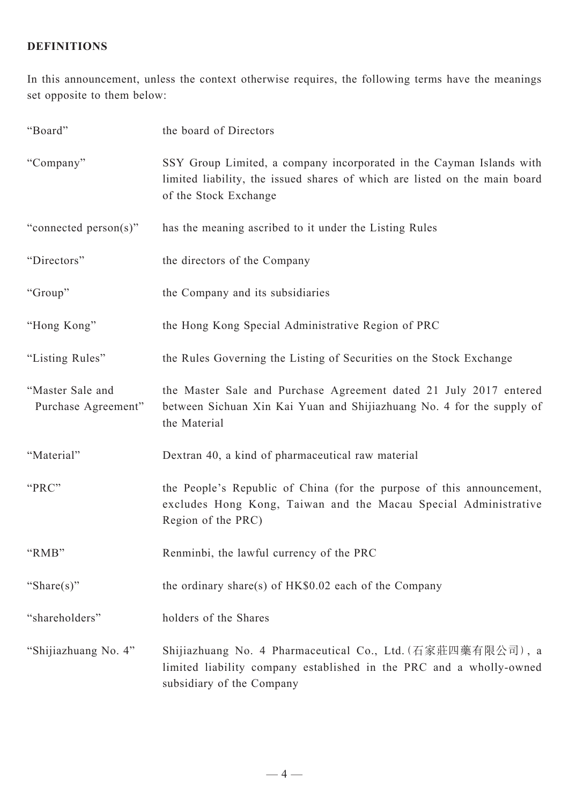# **DEFINITIONS**

In this announcement, unless the context otherwise requires, the following terms have the meanings set opposite to them below:

| "Board"                                 | the board of Directors                                                                                                                                                      |
|-----------------------------------------|-----------------------------------------------------------------------------------------------------------------------------------------------------------------------------|
| "Company"                               | SSY Group Limited, a company incorporated in the Cayman Islands with<br>limited liability, the issued shares of which are listed on the main board<br>of the Stock Exchange |
| "connected person(s)"                   | has the meaning ascribed to it under the Listing Rules                                                                                                                      |
| "Directors"                             | the directors of the Company                                                                                                                                                |
| "Group"                                 | the Company and its subsidiaries                                                                                                                                            |
| "Hong Kong"                             | the Hong Kong Special Administrative Region of PRC                                                                                                                          |
| "Listing Rules"                         | the Rules Governing the Listing of Securities on the Stock Exchange                                                                                                         |
| "Master Sale and<br>Purchase Agreement" | the Master Sale and Purchase Agreement dated 21 July 2017 entered<br>between Sichuan Xin Kai Yuan and Shijiazhuang No. 4 for the supply of<br>the Material                  |
| "Material"                              | Dextran 40, a kind of pharmaceutical raw material                                                                                                                           |
| "PRC"                                   | the People's Republic of China (for the purpose of this announcement,<br>excludes Hong Kong, Taiwan and the Macau Special Administrative<br>Region of the PRC)              |
| "RMB"                                   | Renminbi, the lawful currency of the PRC                                                                                                                                    |
| "Share $(s)$ "                          | the ordinary share(s) of $HK$0.02$ each of the Company                                                                                                                      |
| "shareholders"                          | holders of the Shares                                                                                                                                                       |
| "Shijiazhuang No. 4"                    | Shijiazhuang No. 4 Pharmaceutical Co., Ltd. (石家莊四藥有限公司), a<br>limited liability company established in the PRC and a wholly-owned<br>subsidiary of the Company              |